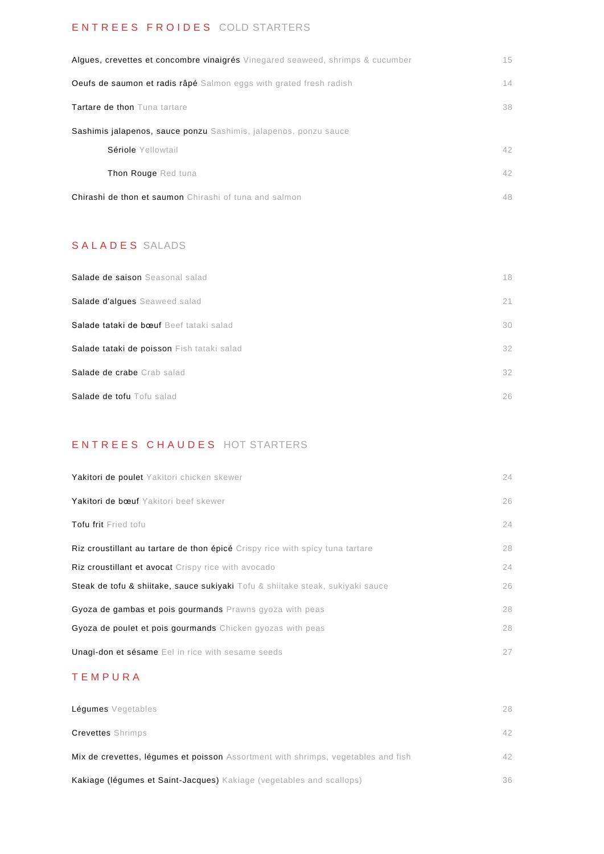### ENTREES FROIDES COLD STARTERS

| Algues, crevettes et concombre vinaigrés Vinegared seaweed, shrimps & cucumber | 15 |
|--------------------------------------------------------------------------------|----|
| <b>Oeufs de saumon et radis râpé</b> Salmon eggs with grated fresh radish      | 14 |
| Tartare de thon Tuna tartare                                                   | 38 |
| Sashimis jalapenos, sauce ponzu Sashimis, jalapenos, ponzu sauce               |    |
| Sériole Yellowtail                                                             | 42 |
| Thon Rouge Red tuna                                                            | 42 |
| <b>Chirashi de thon et saumon</b> Chirashi of tuna and salmon                  | 48 |

# S A L A D E S SALADS

| Salade de saison Seasonal salad            | 18 |
|--------------------------------------------|----|
| Salade d'algues Seaweed salad              | 21 |
| Salade tataki de bœuf Beef tataki salad    | 30 |
| Salade tataki de poisson Fish tataki salad | 32 |
| Salade de crabe Crab salad                 | 32 |
| Salade de tofu Tofu salad                  | 26 |

### ENTREES CHAUDES HOT STARTERS

| Yakitori de poulet Yakitori chicken skewer                                                | 24 |
|-------------------------------------------------------------------------------------------|----|
| Yakitori de bœuf Yakitori beef skewer                                                     | 26 |
| <b>Tofu frit</b> Fried tofu                                                               | 24 |
| Riz croustillant au tartare de thon épicé Crispy rice with spicy tuna tartare             | 28 |
| <b>Riz croustillant et avocat</b> Crispy rice with avocado                                | 24 |
| <b>Steak de tofu &amp; shiitake, sauce sukiyaki</b> Tofu & shiitake steak, sukiyaki sauce | 26 |
| Gyoza de gambas et pois gourmands Prawns gyoza with peas                                  | 28 |
| Gyoza de poulet et pois gourmands Chicken gyozas with peas                                | 28 |
| <b>Unagi-don et sésame</b> Eel in rice with sesame seeds                                  | 27 |

# T E M P U R A

| <b>Léqumes</b> Vegetables                                                         | 28 |
|-----------------------------------------------------------------------------------|----|
| <b>Crevettes</b> Shrimps                                                          | 42 |
| Mix de crevettes, légumes et poisson Assortment with shrimps, vegetables and fish | 42 |
| Kakiage (légumes et Saint-Jacques) Kakiage (vegetables and scallops)              | 36 |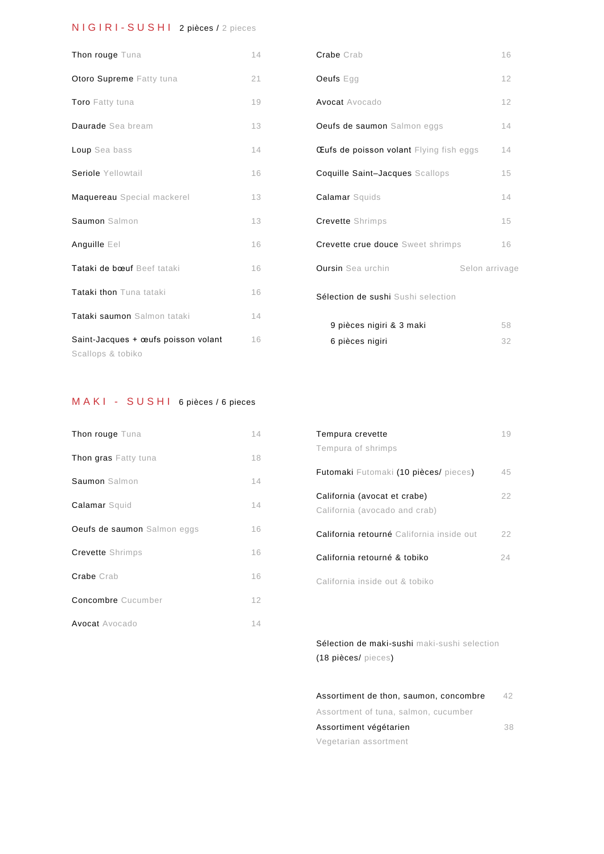#### N I G I R I - S U S H I 2 pièces / 2 pieces

| Thon rouge Tuna                                          | 14 |
|----------------------------------------------------------|----|
| <b>Otoro Supreme Fatty tuna</b>                          | 21 |
| <b>Toro</b> Fatty tuna                                   | 19 |
| Daurade Sea bream                                        | 13 |
| Loup Sea bass                                            | 14 |
| Seriole Yellowtail                                       | 16 |
| Maquereau Special mackerel                               | 13 |
| Saumon Salmon                                            | 13 |
| Anguille Eel                                             | 16 |
| Tataki de bœuf Beef tataki                               | 16 |
| Tataki thon Tuna tataki                                  | 16 |
| Tataki saumon Salmon tataki                              | 14 |
| Saint-Jacques + œufs poisson volant<br>Scallops & tobiko | 16 |

# Crabe Crab 16 Oeufs Egg 12 Avocat Avocado 12 Oeufs de saumon Salmon eggs 14 CEufs de poisson volant Flying fish eggs 14 Coquille Saint-Jacques Scallops 15 Calamar Squids 14 Crevette Shrimps 15 Crevette crue douce Sweet shrimps 16 **Oursin** Sea urchin Selon arrivage Sélection de sushi Sushi selection 9 pièces nigiri & 3 maki 58 6 pièces nigiri 32

### M A K I - S U S H I 6 pièces / 6 pieces

| Thon rouge Tuna             | 14 |
|-----------------------------|----|
| Thon gras Fatty tuna        | 18 |
| Saumon Salmon               | 14 |
| <b>Calamar</b> Squid        | 14 |
| Oeufs de saumon Salmon eggs | 16 |
| <b>Crevette</b> Shrimps     | 16 |
| <b>Crabe</b> Crab           | 16 |
| <b>Concombre</b> Cucumber   | 12 |
| <b>Avocat Avocado</b>       | 14 |

| Tempura crevette                          | 19 |
|-------------------------------------------|----|
| Tempura of shrimps                        |    |
|                                           |    |
| Futomaki Futomaki (10 pièces/ pieces)     | 45 |
| California (avocat et crabe)              | 22 |
| California (avocado and crab)             |    |
|                                           |    |
| California retourné California inside out | 22 |
| California retourné & tobiko              | 24 |
| California inside out & tobiko            |    |

Sélection de maki-sushi maki-sushi selection (18 pièces/ pieces)

| Assortiment de thon, saumon, concombre | 42 |
|----------------------------------------|----|
| Assortment of tuna, salmon, cucumber   |    |
| Assortiment végétarien                 | 38 |
| Vegetarian assortment                  |    |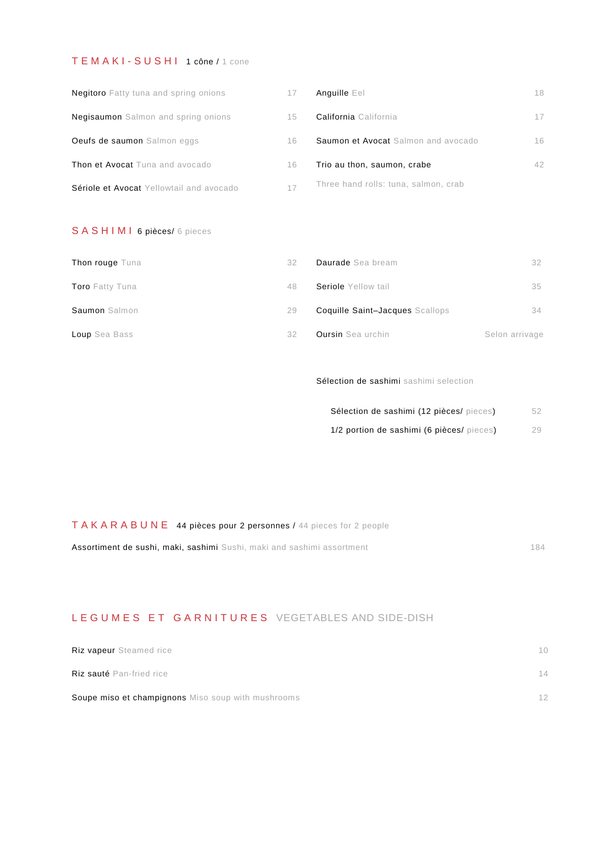### TEMAKI-SUSHI 1 cône / 1 cone

| <b>Negitoro</b> Fatty tuna and spring onions |    | Anguille Eel                         | 18 |
|----------------------------------------------|----|--------------------------------------|----|
| <b>Negisaumon</b> Salmon and spring onions   | 15 | <b>California</b> California         | 17 |
| <b>Oeufs de saumon</b> Salmon eggs           | 16 | Saumon et Avocat Salmon and avocado  | 16 |
| <b>Thon et Avocat</b> Tuna and avocado       | 16 | Trio au thon, saumon, crabe          | 42 |
| Sériole et Avocat Yellowtail and avocado     | 17 | Three hand rolls: tuna, salmon, crab |    |

# S A S H I M I 6 pièces/ 6 pieces

| Thon rouge Tuna        | 32 | Daurade Sea bream                      | 32             |
|------------------------|----|----------------------------------------|----------------|
| <b>Toro</b> Fatty Tuna | 48 | <b>Seriole</b> Yellow tail             | 35             |
| Saumon Salmon          | 29 | <b>Coquille Saint-Jacques Scallops</b> | 34             |
| <b>Loup</b> Sea Bass   | 32 | <b>Oursin</b> Sea urchin               | Selon arrivage |

Sélection de sashimi sashimi selection

| Sélection de sashimi (12 pièces/ pieces)  | 52 |
|-------------------------------------------|----|
| 1/2 portion de sashimi (6 pièces/ pieces) | 29 |

### T A K A R A B U N E 44 pièces pour 2 personnes / 44 pieces for 2 people

Assortiment de sushi, maki, sashimi Sushi, maki and sashimi assortment 184

# LEGUMES ET GARNITURES VEGETABLES AND SIDE-DISH

| <b>Riz vapeur</b> Steamed rice                     | 10 |
|----------------------------------------------------|----|
| <b>Riz sauté</b> Pan-fried rice                    | 14 |
| Soupe miso et champignons Miso soup with mushrooms | 12 |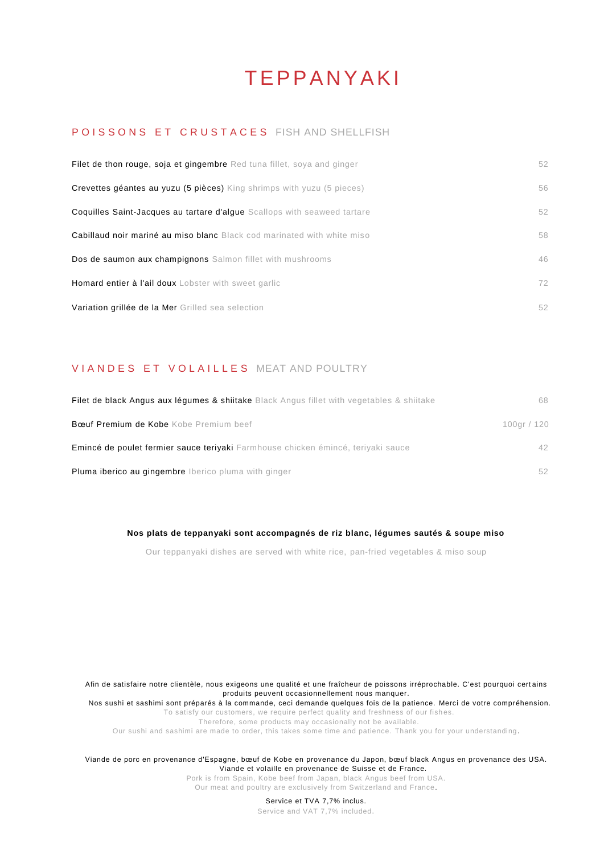# **TEPPANYAKI**

# POISSONS ET CRUSTACES FISH AND SHELLFISH

| <b>Filet de thon rouge, soja et gingembre</b> Red tuna fillet, soya and ginger | 52 |
|--------------------------------------------------------------------------------|----|
| <b>Crevettes géantes au yuzu (5 pièces)</b> King shrimps with yuzu (5 pieces)  | 56 |
| Coquilles Saint-Jacques au tartare d'algue Scallops with seaweed tartare       | 52 |
| <b>Cabillaud noir mariné au miso blanc</b> Black cod marinated with white miso | 58 |
| Dos de saumon aux champignons Salmon fillet with mushrooms                     | 46 |
| <b>Homard entier à l'ail doux</b> Lobster with sweet garlic                    | 72 |
| Variation grillée de la Mer Grilled sea selection                              | 52 |

## VIANDES ET VOLAILLES MEAT AND POULTRY

| <b>Filet de black Angus aux légumes &amp; shiitake</b> Black Angus fillet with vegetables & shiitake | 68             |
|------------------------------------------------------------------------------------------------------|----------------|
| Bœuf Premium de Kobe Kobe Premium beef                                                               | $100$ gr / 120 |
| <b>Emincé de poulet fermier sauce terivaki</b> Farmhouse chicken émincé, terivaki sauce              | 42             |
| <b>Pluma iberico au gingembre</b> Iberico pluma with ginger                                          | 52             |

#### **Nos plats de teppanyaki sont accompagnés de riz blanc, légumes sautés & soupe miso**

Our teppanyaki dishes are served with white rice, pan-fried vegetables & miso soup

Afin de satisfaire notre clientèle, nous exigeons une qualité et une fraîcheur de poissons irréprochable. C'est pourquoi certains produits peuvent occasionnellement nous manquer.

Nos sushi et sashimi sont préparés à la commande, ceci demande quelques fois de la patience. Merci de votre compréhension. To satisfy our customers, we require perfect quality and freshness of our fishes.

Therefore, some products may occasionally not be available.

Our sushi and sashimi are made to order, this takes some time and patience. Thank you for your understanding.

Viande de porc en provenance d'Espagne, bœuf de Kobe en provenance du Japon, bœuf black Angus en provenance des USA. Viande et volaille en provenance de Suisse et de France.

Pork is from Spain, Kobe beef from Japan, black Angus beef from USA. Our meat and poultry are exclusively from Switzerland and France.

#### Service et TVA 7,7% inclus.

Service and VAT 7,7% included.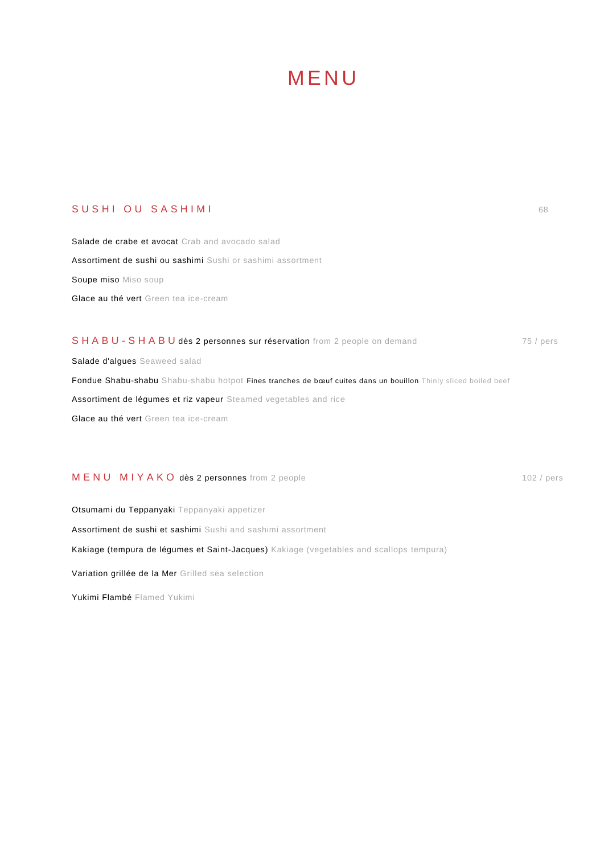# **MENU**

# S U S H I O U S A S H I M I 68

Salade de crabe et avocat Crab and avocado salad Assortiment de sushi ou sashimi Sushi or sashimi assortment Soupe miso Miso soup Glace au thé vert Green tea ice-cream

### S H A B U - S H A B U dès 2 personnes sur réservation from 2 people on demand 75 / pers

Salade d'algues Seaweed salad

Fondue Shabu-shabu Shabu-shabu hotpot Fines tranches de bœuf cuites dans un bouillon Thinly sliced boiled beef

Assortiment de légumes et riz vapeur Steamed vegetables and rice

Glace au thé vert Green tea ice-cream

### M E N U M I Y A K O dès 2 personnes from 2 people 102 / personnes 102 / pers

Otsumami du Teppanyaki Teppanyaki appetizer Assortiment de sushi et sashimi Sushi and sashimi assortment Kakiage (tempura de légumes et Saint-Jacques) Kakiage (vegetables and scallops tempura) Variation grillée de la Mer Grilled sea selection Yukimi Flambé Flamed Yukimi